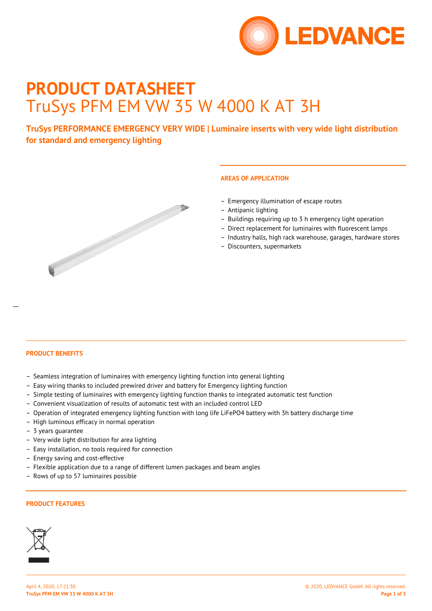

# **PRODUCT DATASHEET** TruSys PFM EM VW 35 W 4000 K AT 3H

**TruSys PERFORMANCE EMERGENCY VERY WIDE | Luminaire inserts with very wide light distribution for standard and emergency lighting**



# **AREAS OF APPLICATION**

- Emergency illumination of escape routes
- Antipanic lighting
- Buildings requiring up to 3 h emergency light operation
- Direct replacement for luminaires with fluorescent lamps
- Industry halls, high rack warehouse, garages, hardware stores
- Discounters, supermarkets

 $\overline{a}$ 

- Seamless integration of luminaires with emergency lighting function into general lighting
- Easy wiring thanks to included prewired driver and battery for Emergency lighting function
- Simple testing of luminaires with emergency lighting function thanks to integrated automatic test function
- Convenient visualization of results of automatic test with an included control LED
- Operation of integrated emergency lighting function with long life LiFePO4 battery with 3h battery discharge time
- High luminous efficacy in normal operation
- 3 years guarantee
- Very wide light distribution for area lighting
- Easy installation, no tools required for connection
- Energy saving and cost-effective
- Flexible application due to a range of different lumen packages and beam angles
- Rows of up to 57 luminaires possible

### **PRODUCT FEATURES**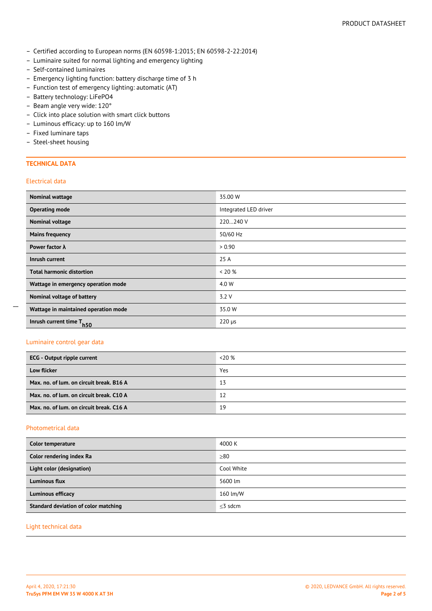- Certified according to European norms (EN 60598-1:2015; EN 60598-2-22:2014)
- Luminaire suited for normal lighting and emergency lighting
- Self-contained luminaires
- Emergency lighting function: battery discharge time of 3 h
- Function test of emergency lighting: automatic (AT)
- Battery technology: LiFePO4
- Beam angle very wide: 120°
- Click into place solution with smart click buttons
- Luminous efficacy: up to 160 lm/W
- Fixed luminare taps
- Steel-sheet housing

### **TECHNICAL DATA**

### Electrical data

 $\overline{a}$ 

| Nominal wattage                          | 35.00 W               |
|------------------------------------------|-----------------------|
| <b>Operating mode</b>                    | Integrated LED driver |
| <b>Nominal voltage</b>                   | 220240 V              |
| <b>Mains frequency</b>                   | 50/60 Hz              |
| Power factor $\lambda$                   | > 0.90                |
| Inrush current                           | 25 A                  |
| <b>Total harmonic distortion</b>         | $< 20\%$              |
| Wattage in emergency operation mode      | 4.0 W                 |
| Nominal voltage of battery               | 3.2V                  |
| Wattage in maintained operation mode     | 35.0 W                |
| Inrush current time T<br>h <sub>50</sub> | $220 \mu s$           |

### Luminaire control gear data

| <b>ECG</b> - Output ripple current       | $< 20\%$ |
|------------------------------------------|----------|
| <b>Low flicker</b>                       | Yes      |
| Max, no. of lum, on circuit break, B16 A | 13       |
| Max, no. of lum, on circuit break, C10 A | 12       |
| Max. no. of lum. on circuit break. C16 A | 19       |

### Photometrical data

| Color temperature                    | 4000 K     |
|--------------------------------------|------------|
| Color rendering index Ra             | $\geq 80$  |
| Light color (designation)            | Cool White |
| Luminous flux                        | 5600 lm    |
| <b>Luminous efficacy</b>             | 160 lm/W   |
| Standard deviation of color matching | $<$ 3 sdcm |

### Light technical data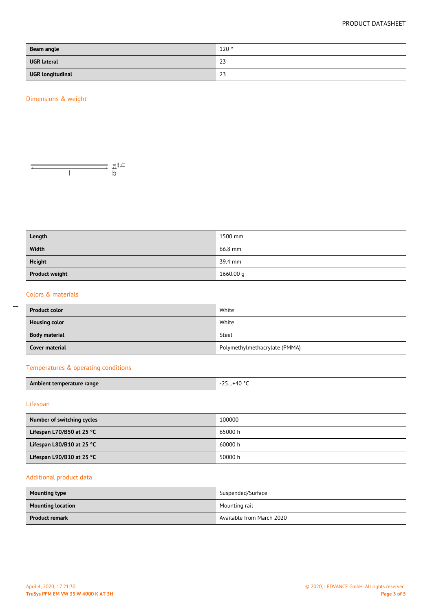### PRODUCT DATASHEET

| Beam angle              | 120° |
|-------------------------|------|
| <b>UGR</b> lateral      | 23   |
| <b>UGR longitudinal</b> | 23   |

### Dimensions & weight



| Length                | 1500 mm   |
|-----------------------|-----------|
| Width                 | 66.8 mm   |
| <b>Height</b>         | 39.4 mm   |
| <b>Product weight</b> | 1660.00 g |

### Colors & materials

 $\overline{a}$ 

| <b>Product color</b> | White                         |
|----------------------|-------------------------------|
| <b>Housing color</b> | White                         |
| <b>Body material</b> | Steel                         |
| Cover material       | Polymethylmethacrylate (PMMA) |

### Temperatures & operating conditions

| Ambient temperature range | …+40 ° <sup>∽</sup><br>-25 |
|---------------------------|----------------------------|
|                           |                            |

### Lifespan

| Number of switching cycles          | 100000  |
|-------------------------------------|---------|
| Lifespan L70/B50 at 25 °C           | 65000 h |
| Lifespan L80/B10 at 25 $^{\circ}$ C | 60000 h |
| Lifespan L90/B10 at 25 $^{\circ}$ C | 50000 h |

## Additional product data

| <b>Mounting type</b>     | Suspended/Surface         |
|--------------------------|---------------------------|
| <b>Mounting location</b> | Mounting rail             |
| <b>Product remark</b>    | Available from March 2020 |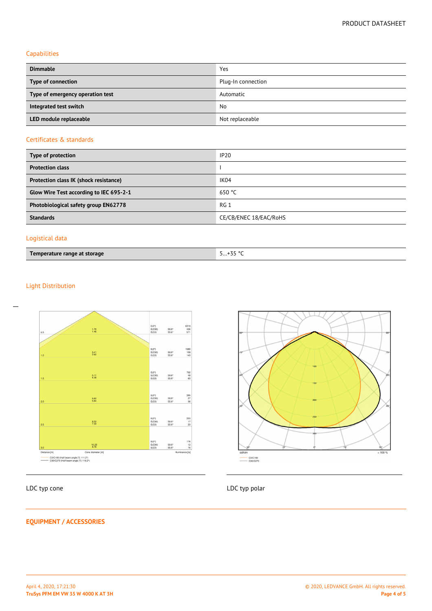### Capabilities

| <b>Dimmable</b>                  | Yes                |
|----------------------------------|--------------------|
| Type of connection               | Plug-In connection |
| Type of emergency operation test | Automatic          |
| Integrated test switch           | No                 |
| LED module replaceable           | Not replaceable    |

# Certificates & standards

| Type of protection                      | <b>IP20</b>            |
|-----------------------------------------|------------------------|
| <b>Protection class</b>                 |                        |
| Protection class IK (shock resistance)  | IK04                   |
| Glow Wire Test according to IEC 695-2-1 | 650 °C                 |
| Photobiological safety group EN62778    | RG 1                   |
| <b>Standards</b>                        | CE/CB/ENEC 18/EAC/RoHS |
|                                         |                        |

### Logistical data

| Temperature range at storage | 5+35 °C |
|------------------------------|---------|
|------------------------------|---------|

## Light Distribution

 $\overline{a}$ 



# CO/C180

**EQUIPMENT / ACCESSORIES**

## LDC typ cone LDC typ polar